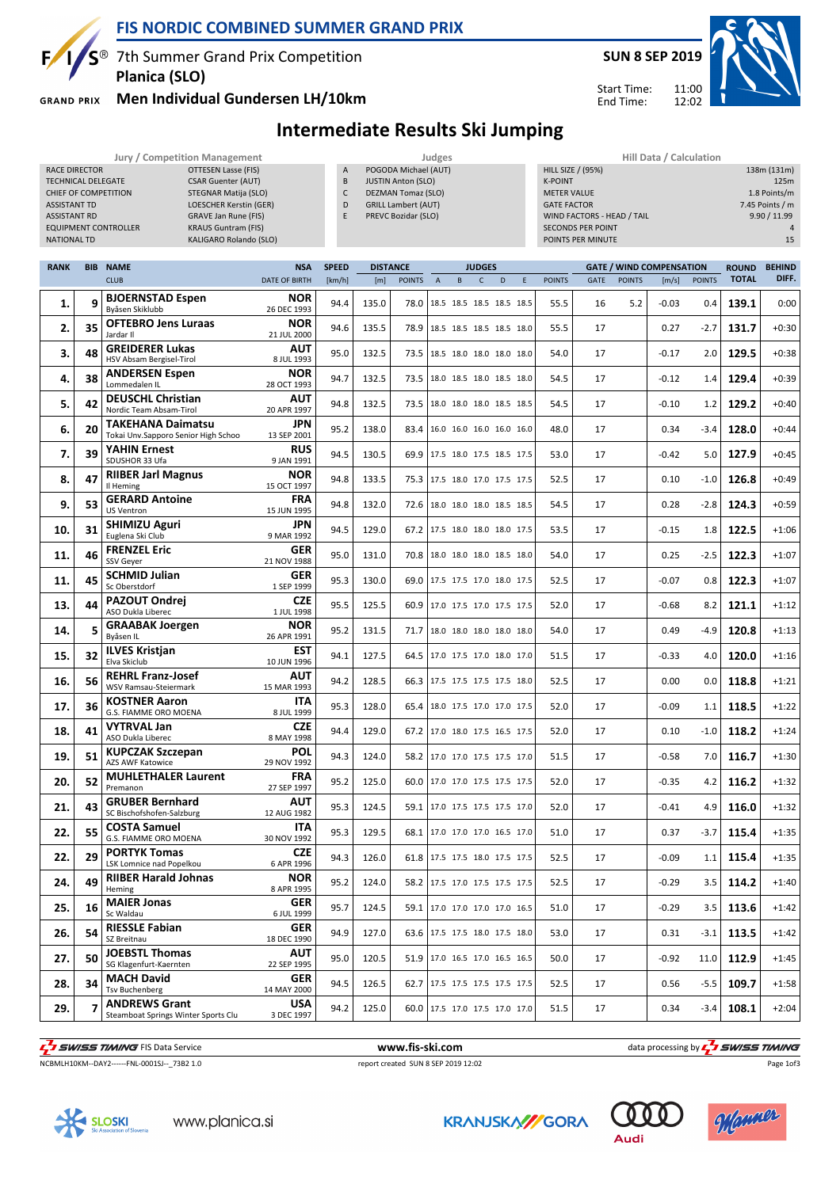

## **FIS NORDIC COMBINED SUMMER GRAND PRIX**

7th Summer Grand Prix Competition **Planica (SLO)**

**GRAND PRIX** 

#### **Men Individual Gundersen LH/10km**

Start Time: End Time:

## **Intermediate Results Ski Jumping**

**Jury / Competition Management Judges Hill Data / Calculation**

| <b>RACE DIRECTOR</b><br>TECHNICAL DELEGATE<br><b>ASSISTANT TD</b><br><b>ASSISTANT RD</b> |              | OTTESEN Lasse (FIS)<br><b>CSAR Guenter (AUT)</b><br>CHIEF OF COMPETITION<br><b>STEGNAR Matija (SLO)</b><br><b>LOESCHER Kerstin (GER)</b><br><b>GRAVE Jan Rune (FIS)</b><br><b>EQUIPMENT CONTROLLER</b><br><b>KRAUS Guntram (FIS)</b> |                           | A<br>B<br>C<br>D<br>E |                 | POGODA Michael (AUT)<br><b>JUSTIN Anton (SLO)</b><br>DEZMAN Tomaz (SLO)<br><b>GRILL Lambert (AUT)</b><br>PREVC Bozidar (SLO) |                |   |               |                          |   | <b>HILL SIZE / (95%)</b><br><b>K-POINT</b><br><b>METER VALUE</b><br><b>GATE FACTOR</b> | WIND FACTORS - HEAD / TAIL<br><b>SECONDS PER POINT</b> |               |                                 | 138m (131m)<br>125m<br>1.8 Points/m<br>7.45 Points / m<br>9.90 / 11.99 |                              |                        |  |  |
|------------------------------------------------------------------------------------------|--------------|--------------------------------------------------------------------------------------------------------------------------------------------------------------------------------------------------------------------------------------|---------------------------|-----------------------|-----------------|------------------------------------------------------------------------------------------------------------------------------|----------------|---|---------------|--------------------------|---|----------------------------------------------------------------------------------------|--------------------------------------------------------|---------------|---------------------------------|------------------------------------------------------------------------|------------------------------|------------------------|--|--|
| <b>NATIONAL TD</b><br><b>RANK</b>                                                        | <b>BIB</b>   | KALIGARO Rolando (SLO)<br><b>NAME</b>                                                                                                                                                                                                | <b>NSA</b>                | <b>SPEED</b>          | <b>DISTANCE</b> |                                                                                                                              |                |   | <b>JUDGES</b> |                          |   |                                                                                        | POINTS PER MINUTE                                      |               | <b>GATE / WIND COMPENSATION</b> | 15                                                                     |                              |                        |  |  |
|                                                                                          |              | <b>CLUB</b>                                                                                                                                                                                                                          | <b>DATE OF BIRTH</b>      | [km/h]                | [m]             | <b>POINTS</b>                                                                                                                | $\overline{A}$ | B | C             | D                        | E | <b>POINTS</b>                                                                          | <b>GATE</b>                                            | <b>POINTS</b> | [m/s]                           | <b>POINTS</b>                                                          | <b>ROUND</b><br><b>TOTAL</b> | <b>BEHIND</b><br>DIFF. |  |  |
| 1.                                                                                       | $\mathbf{a}$ | <b>BJOERNSTAD Espen</b><br>Byåsen Skiklubb                                                                                                                                                                                           | <b>NOR</b><br>26 DEC 1993 | 94.4                  | 135.0           | 78.0                                                                                                                         |                |   |               | 18.5 18.5 18.5 18.5 18.5 |   | 55.5                                                                                   | 16                                                     | 5.2           | $-0.03$                         | 0.4                                                                    | 139.1                        | 0:00                   |  |  |
| 2.                                                                                       | 35           | <b>OFTEBRO Jens Luraas</b><br>Jardar II                                                                                                                                                                                              | <b>NOR</b><br>21 JUL 2000 | 94.6                  | 135.5           | 78.9                                                                                                                         |                |   |               | 18.5 18.5 18.5 18.5 18.0 |   | 55.5                                                                                   | 17                                                     |               | 0.27                            | $-2.7$                                                                 | 131.7                        | $+0:30$                |  |  |
| 3.                                                                                       | 48           | <b>GREIDERER Lukas</b><br>HSV Absam Bergisel-Tirol                                                                                                                                                                                   | <b>AUT</b><br>8 JUL 1993  | 95.0                  | 132.5           | 73.5                                                                                                                         |                |   |               | 18.5 18.0 18.0 18.0 18.0 |   | 54.0                                                                                   | 17                                                     |               | $-0.17$                         | 2.0 <sub>1</sub>                                                       | 129.5                        | $+0:38$                |  |  |
| 4.                                                                                       | 38           | <b>ANDERSEN Espen</b><br>Lommedalen IL                                                                                                                                                                                               | <b>NOR</b><br>28 OCT 1993 | 94.7                  | 132.5           | 73.5                                                                                                                         |                |   |               | 18.0 18.5 18.0 18.5 18.0 |   | 54.5                                                                                   | 17                                                     |               | $-0.12$                         | 1.4                                                                    | 129.4                        | $+0:39$                |  |  |
| 5.                                                                                       | 42           | <b>DEUSCHL Christian</b><br>Nordic Team Absam-Tirol                                                                                                                                                                                  | <b>AUT</b><br>20 APR 1997 | 94.8                  | 132.5           | 73.5                                                                                                                         |                |   |               | 18.0 18.0 18.0 18.5 18.5 |   | 54.5                                                                                   | 17                                                     |               | $-0.10$                         | 1.2                                                                    | 129.2                        | $+0:40$                |  |  |
| 6.                                                                                       | 20           | TAKEHANA Daimatsu<br>Tokai Unv.Sapporo Senior High Schoo                                                                                                                                                                             | <b>JPN</b><br>13 SEP 2001 | 95.2                  | 138.0           | 83.4                                                                                                                         |                |   |               | 16.0 16.0 16.0 16.0 16.0 |   | 48.0                                                                                   | 17                                                     |               | 0.34                            | $-3.4$                                                                 | 128.0                        | $+0:44$                |  |  |
| 7.                                                                                       | 39           | <b>YAHIN Ernest</b><br>SDUSHOR 33 Ufa                                                                                                                                                                                                | <b>RUS</b><br>9 JAN 1991  | 94.5                  | 130.5           | 69.9 17.5 18.0 17.5 18.5 17.5                                                                                                |                |   |               |                          |   | 53.0                                                                                   | 17                                                     |               | $-0.42$                         | 5.0                                                                    | 127.9                        | $+0:45$                |  |  |
| 8.                                                                                       | 47           | <b>RIIBER Jarl Magnus</b><br>Il Heming                                                                                                                                                                                               | <b>NOR</b><br>15 OCT 1997 | 94.8                  | 133.5           | 75.3                                                                                                                         |                |   |               | 17.5 18.0 17.0 17.5 17.5 |   | 52.5                                                                                   | 17                                                     |               | 0.10                            | $-1.0$                                                                 | 126.8                        | $+0:49$                |  |  |
| 9.                                                                                       | 53           | <b>GERARD Antoine</b><br><b>IIS Ventron</b>                                                                                                                                                                                          | <b>FRA</b><br>15 IUN 1995 | 94.8                  | 132.0           | 72.6                                                                                                                         |                |   |               | 18.0 18.0 18.0 18.5 18.5 |   | 54.5                                                                                   | 17                                                     |               | 0.28                            | $-2.8$                                                                 | 124.3                        | $+0:59$                |  |  |

| 7.  | 39 | <b>YAHIN Ernest</b><br>SDUSHOR 33 Ufa                       | <b>RUS</b><br>9 JAN 1991  | 94.5 | 130.5 |      |  | 69.9 17.5 18.0 17.5 18.5 17.5   | 53.0 | 17 | $-0.42$ | 5.0    | 127.9 | $+0:45$ |
|-----|----|-------------------------------------------------------------|---------------------------|------|-------|------|--|---------------------------------|------|----|---------|--------|-------|---------|
| 8.  | 47 | <b>RIIBER Jarl Magnus</b><br>Il Heming                      | <b>NOR</b><br>15 OCT 1997 | 94.8 | 133.5 |      |  | 75.3 17.5 18.0 17.0 17.5 17.5   | 52.5 | 17 | 0.10    | $-1.0$ | 126.8 | $+0:49$ |
| 9.  | 53 | <b>GERARD Antoine</b><br><b>US Ventron</b>                  | <b>FRA</b><br>15 JUN 1995 | 94.8 | 132.0 | 72.6 |  | 18.0 18.0 18.0 18.5 18.5        | 54.5 | 17 | 0.28    | $-2.8$ | 124.3 | $+0:59$ |
| 10. | 31 | <b>SHIMIZU Aguri</b><br>Euglena Ski Club                    | <b>JPN</b><br>9 MAR 1992  | 94.5 | 129.0 |      |  | 67.2 17.5 18.0 18.0 18.0 17.5   | 53.5 | 17 | $-0.15$ | 1.8    | 122.5 | $+1:06$ |
| 11. | 46 | <b>FRENZEL Eric</b><br>SSV Geyer                            | <b>GER</b><br>21 NOV 1988 | 95.0 | 131.0 | 70.8 |  | 18.0 18.0 18.0 18.5 18.0        | 54.0 | 17 | 0.25    | $-2.5$ | 122.3 | $+1:07$ |
| 11. | 45 | <b>SCHMID Julian</b><br>Sc Oberstdorf                       | <b>GER</b><br>1 SEP 1999  | 95.3 | 130.0 |      |  | 69.0 17.5 17.5 17.0 18.0 17.5   | 52.5 | 17 | $-0.07$ | 0.8    | 122.3 | $+1:07$ |
| 13. | 44 | <b>PAZOUT Ondrej</b><br>ASO Dukla Liberec                   | <b>CZE</b><br>1 JUL 1998  | 95.5 | 125.5 | 60.9 |  | 17.0 17.5 17.0 17.5 17.5        | 52.0 | 17 | $-0.68$ | 8.2    | 121.1 | $+1:12$ |
| 14. | 5  | <b>GRAABAK Joergen</b><br>Byåsen IL                         | <b>NOR</b><br>26 APR 1991 | 95.2 | 131.5 | 71.7 |  | 18.0 18.0 18.0 18.0 18.0        | 54.0 | 17 | 0.49    | $-4.9$ | 120.8 | $+1:13$ |
| 15. | 32 | <b>ILVES Kristjan</b><br>Elva Skiclub                       | <b>EST</b><br>10 JUN 1996 | 94.1 | 127.5 |      |  | 64.5   17.0 17.5 17.0 18.0 17.0 | 51.5 | 17 | $-0.33$ | 4.0    | 120.0 | $+1:16$ |
| 16. | 56 | <b>REHRL Franz-Josef</b><br>WSV Ramsau-Steiermark           | <b>AUT</b><br>15 MAR 1993 | 94.2 | 128.5 | 66.3 |  | 17.5 17.5 17.5 17.5 18.0        | 52.5 | 17 | 0.00    | 0.0    | 118.8 | $+1:21$ |
| 17. | 36 | <b>KOSTNER Aaron</b><br>G.S. FIAMME ORO MOENA               | <b>ITA</b><br>8 JUL 1999  | 95.3 | 128.0 |      |  | 65.4 18.0 17.5 17.0 17.0 17.5   | 52.0 | 17 | $-0.09$ | 1.1    | 118.5 | $+1:22$ |
| 18. | 41 | <b>VYTRVAL Jan</b><br>ASO Dukla Liberec                     | <b>CZE</b><br>8 MAY 1998  | 94.4 | 129.0 |      |  | 67.2 17.0 18.0 17.5 16.5 17.5   | 52.0 | 17 | 0.10    | $-1.0$ | 118.2 | $+1:24$ |
| 19. | 51 | <b>KUPCZAK Szczepan</b><br>AZS AWF Katowice                 | <b>POL</b><br>29 NOV 1992 | 94.3 | 124.0 |      |  | 58.2 17.0 17.0 17.5 17.5 17.0   | 51.5 | 17 | $-0.58$ | 7.0    | 116.7 | $+1:30$ |
| 20. | 52 | <b>MUHLETHALER Laurent</b><br>Premanon                      | <b>FRA</b><br>27 SEP 1997 | 95.2 | 125.0 |      |  | 60.0   17.0 17.0 17.5 17.5 17.5 | 52.0 | 17 | $-0.35$ | 4.2    | 116.2 | $+1:32$ |
| 21. | 43 | <b>GRUBER Bernhard</b><br>SC Bischofshofen-Salzburg         | <b>AUT</b><br>12 AUG 1982 | 95.3 | 124.5 |      |  | 59.1 17.0 17.5 17.5 17.5 17.0   | 52.0 | 17 | $-0.41$ | 4.9    | 116.0 | $+1:32$ |
| 22. | 55 | <b>COSTA Samuel</b><br>G.S. FIAMME ORO MOENA                | <b>ITA</b><br>30 NOV 1992 | 95.3 | 129.5 | 68.1 |  | 17.0 17.0 17.0 16.5 17.0        | 51.0 | 17 | 0.37    | $-3.7$ | 115.4 | $+1:35$ |
| 22. | 29 | <b>PORTYK Tomas</b><br>LSK Lomnice nad Popelkou             | <b>CZE</b><br>6 APR 1996  | 94.3 | 126.0 |      |  | 61.8 17.5 17.5 18.0 17.5 17.5   | 52.5 | 17 | $-0.09$ | 1.1    | 115.4 | $+1:35$ |
| 24. | 49 | <b>RIIBER Harald Johnas</b><br>Heming                       | <b>NOR</b><br>8 APR 1995  | 95.2 | 124.0 |      |  | 58.2 17.5 17.0 17.5 17.5 17.5   | 52.5 | 17 | $-0.29$ | 3.5    | 114.2 | $+1:40$ |
| 25. | 16 | <b>MAIER Jonas</b><br>Sc Waldau                             | <b>GER</b><br>6 JUL 1999  | 95.7 | 124.5 |      |  | 59.1 17.0 17.0 17.0 17.0 16.5   | 51.0 | 17 | $-0.29$ | 3.5    | 113.6 | $+1:42$ |
| 26. | 54 | <b>RIESSLE Fabian</b><br>SZ Breitnau                        | <b>GER</b><br>18 DEC 1990 | 94.9 | 127.0 | 63.6 |  | 17.5 17.5 18.0 17.5 18.0        | 53.0 | 17 | 0.31    | $-3.1$ | 113.5 | $+1:42$ |
| 27. | 50 | <b>JOEBSTL Thomas</b><br>SG Klagenfurt-Kaernten             | <b>AUT</b><br>22 SEP 1995 | 95.0 | 120.5 | 51.9 |  | 17.0 16.5 17.0 16.5 16.5        | 50.0 | 17 | $-0.92$ | 11.0   | 112.9 | $+1:45$ |
| 28. | 34 | <b>MACH David</b><br><b>Tsv Buchenberg</b>                  | <b>GER</b><br>14 MAY 2000 | 94.5 | 126.5 |      |  | 62.7 17.5 17.5 17.5 17.5 17.5   | 52.5 | 17 | 0.56    | $-5.5$ | 109.7 | $+1:58$ |
| 29. | 7  | <b>ANDREWS Grant</b><br>Steamboat Springs Winter Sports Clu | <b>USA</b><br>3 DEC 1997  | 94.2 | 125.0 |      |  | 60.0 17.5 17.0 17.5 17.0 17.0   | 51.5 | 17 | 0.34    | $-3.4$ | 108.1 | $+2:04$ |

THE SUNSERTIMING FIS Data Service **WWW.fis-Ski.com www.fis-ski.com** data processing by THE SUNSERTIMING

NCBMLH10KM--DAY2------FNL-0001SJ--\_73B2 1.0 report created SUN 8 SEP 2019 12:02

Page 1of3







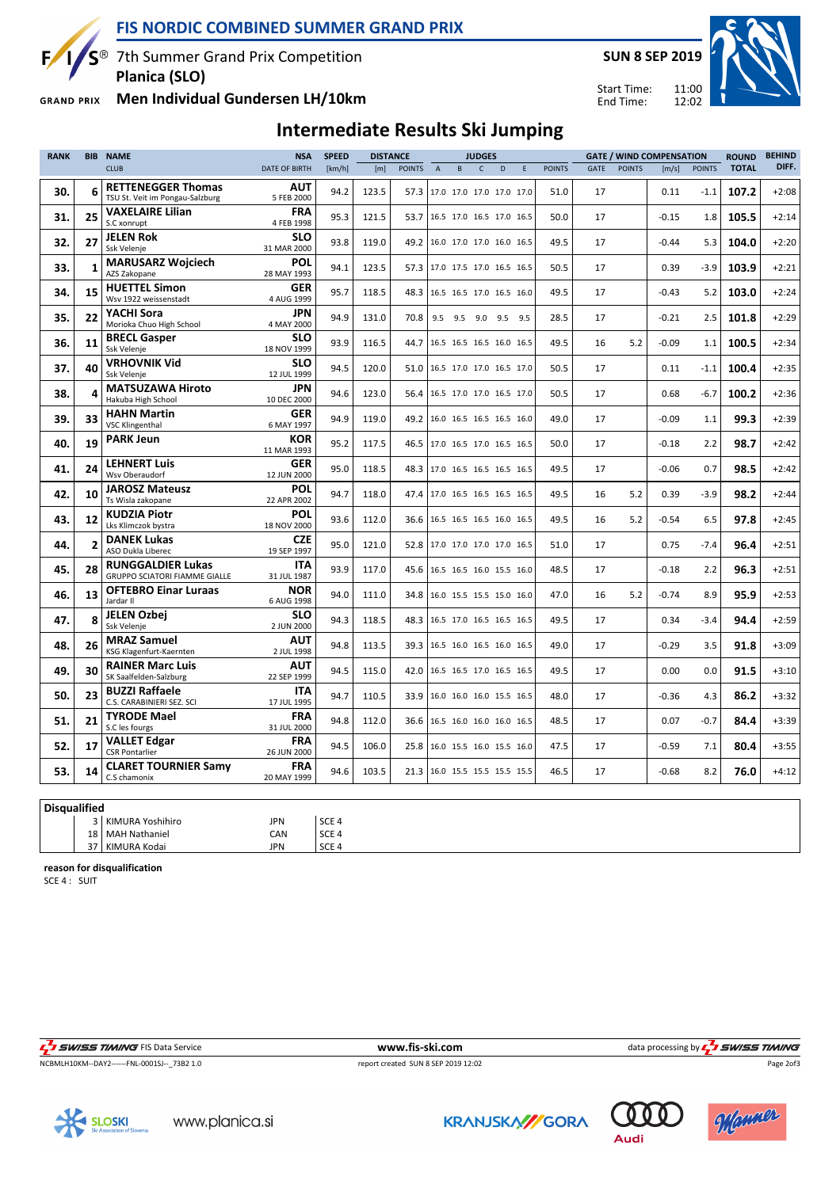**FIS NORDIC COMBINED SUMMER GRAND PRIX**

S<sup>®</sup> 7th Summer Grand Prix Competition **Planica (SLO)**

**Men Individual Gundersen LH/10km GRAND PRIX** 

 $\mathbf{F}$ 

## **SUN 8 SEP 2019**



11:00 12:02 Start Time: End Time:

## **Intermediate Results Ski Jumping**

| <b>RANK</b> | <b>BIB</b>     | <b>NAME</b>                                                      | <b>NSA</b>                | <b>SPEED</b> | <b>DISTANCE</b> |                               |                               |   | <b>JUDGES</b> |                          |   |               |             |               | <b>GATE / WIND COMPENSATION</b> |               | <b>ROUND</b> | <b>BEHIND</b> |
|-------------|----------------|------------------------------------------------------------------|---------------------------|--------------|-----------------|-------------------------------|-------------------------------|---|---------------|--------------------------|---|---------------|-------------|---------------|---------------------------------|---------------|--------------|---------------|
|             |                | <b>CLUB</b>                                                      | <b>DATE OF BIRTH</b>      | [km/h]       | [m]             | <b>POINTS</b>                 | $\overline{A}$                | B | $\mathsf{C}$  | D                        | E | <b>POINTS</b> | <b>GATE</b> | <b>POINTS</b> | [m/s]                           | <b>POINTS</b> | <b>TOTAL</b> | DIFF.         |
| 30.         | 6              | <b>RETTENEGGER Thomas</b><br>TSU St. Veit im Pongau-Salzburg     | <b>AUT</b><br>5 FEB 2000  | 94.2         | 123.5           | 57.3                          |                               |   |               | 17.0 17.0 17.0 17.0 17.0 |   | 51.0          | 17          |               | 0.11                            | $-1.1$        | 107.2        | $+2:08$       |
| 31.         | 25             | <b>VAXELAIRE Lilian</b><br>S.C xonrupt                           | <b>FRA</b><br>4 FEB 1998  | 95.3         | 121.5           | 53.7                          |                               |   |               | 16.5 17.0 16.5 17.0 16.5 |   | 50.0          | 17          |               | $-0.15$                         | 1.8           | 105.5        | $+2:14$       |
| 32.         | 27             | <b>JELEN Rok</b><br>Ssk Velenje                                  | <b>SLO</b><br>31 MAR 2000 | 93.8         | 119.0           | 49.2                          |                               |   |               | 16.0 17.0 17.0 16.0 16.5 |   | 49.5          | 17          |               | $-0.44$                         | 5.3           | 104.0        | $+2:20$       |
| 33.         | $\mathbf{1}$   | <b>MARUSARZ Wojciech</b><br>AZS Zakopane                         | <b>POL</b><br>28 MAY 1993 | 94.1         | 123.5           |                               | 57.3 17.0 17.5 17.0 16.5 16.5 |   |               |                          |   | 50.5          | 17          |               | 0.39                            | $-3.9$        | 103.9        | $+2:21$       |
| 34.         | 15             | <b>HUETTEL Simon</b><br>Wsv 1922 weissenstadt                    | GER<br>4 AUG 1999         | 95.7         | 118.5           | 48.3                          |                               |   |               | 16.5 16.5 17.0 16.5 16.0 |   | 49.5          | 17          |               | $-0.43$                         | 5.2           | 103.0        | $+2:24$       |
| 35.         | 22             | YACHI Sora<br>Morioka Chuo High School                           | <b>JPN</b><br>4 MAY 2000  | 94.9         | 131.0           | 70.8                          |                               |   |               | 9.5 9.5 9.0 9.5 9.5      |   | 28.5          | 17          |               | $-0.21$                         | 2.5           | 101.8        | $+2:29$       |
| 36.         | 11             | <b>BRECL Gasper</b><br>Ssk Velenje                               | <b>SLO</b><br>18 NOV 1999 | 93.9         | 116.5           | 44.7                          |                               |   |               | 16.5 16.5 16.5 16.0 16.5 |   | 49.5          | 16          | 5.2           | $-0.09$                         | 1.1           | 100.5        | $+2:34$       |
| 37.         | 40             | <b>VRHOVNIK Vid</b><br>Ssk Velenje                               | <b>SLO</b><br>12 JUL 1999 | 94.5         | 120.0           | 51.0 16.5 17.0 17.0 16.5 17.0 |                               |   |               |                          |   | 50.5          | 17          |               | 0.11                            | $-1.1$        | 100.4        | $+2:35$       |
| 38.         | 4              | <b>MATSUZAWA Hiroto</b><br>Hakuba High School                    | <b>JPN</b><br>10 DEC 2000 | 94.6         | 123.0           | 56.4                          |                               |   |               | 16.5 17.0 17.0 16.5 17.0 |   | 50.5          | 17          |               | 0.68                            | $-6.7$        | 100.2        | $+2:36$       |
| 39.         | 33             | <b>HAHN Martin</b><br><b>VSC Klingenthal</b>                     | <b>GER</b><br>6 MAY 1997  | 94.9         | 119.0           | 49.2 16.0 16.5 16.5 16.5 16.0 |                               |   |               |                          |   | 49.0          | 17          |               | $-0.09$                         | 1.1           | 99.3         | $+2:39$       |
| 40.         | 19             | <b>PARK Jeun</b>                                                 | <b>KOR</b><br>11 MAR 1993 | 95.2         | 117.5           | 46.5                          |                               |   |               | 17.0 16.5 17.0 16.5 16.5 |   | 50.0          | 17          |               | $-0.18$                         | 2.2           | 98.7         | $+2:42$       |
| 41.         | 24             | <b>LEHNERT Luis</b><br>Wsv Oberaudorf                            | <b>GER</b><br>12 JUN 2000 | 95.0         | 118.5           | 48.3                          |                               |   |               | 17.0 16.5 16.5 16.5 16.5 |   | 49.5          | 17          |               | $-0.06$                         | 0.7           | 98.5         | $+2:42$       |
| 42.         | 10             | <b>JAROSZ Mateusz</b><br>Ts Wisla zakopane                       | <b>POL</b><br>22 APR 2002 | 94.7         | 118.0           |                               | 47.4 17.0 16.5 16.5 16.5 16.5 |   |               |                          |   | 49.5          | 16          | 5.2           | 0.39                            | $-3.9$        | 98.2         | $+2:44$       |
| 43.         | 12             | <b>KUDZIA Piotr</b><br>Lks Klimczok bystra                       | <b>POL</b><br>18 NOV 2000 | 93.6         | 112.0           | 36.6                          |                               |   |               | 16.5 16.5 16.5 16.0 16.5 |   | 49.5          | 16          | 5.2           | $-0.54$                         | 6.5           | 97.8         | $+2:45$       |
| 44.         | $\overline{2}$ | <b>DANEK Lukas</b><br>ASO Dukla Liberec                          | <b>CZE</b><br>19 SEP 1997 | 95.0         | 121.0           |                               | 52.8 17.0 17.0 17.0 17.0 16.5 |   |               |                          |   | 51.0          | 17          |               | 0.75                            | $-7.4$        | 96.4         | $+2:51$       |
| 45.         | 28             | <b>RUNGGALDIER Lukas</b><br><b>GRUPPO SCIATORI FIAMME GIALLE</b> | <b>ITA</b><br>31 JUL 1987 | 93.9         | 117.0           |                               | 45.6 16.5 16.5 16.0 15.5 16.0 |   |               |                          |   | 48.5          | 17          |               | $-0.18$                         | 2.2           | 96.3         | $+2:51$       |
| 46.         | 13             | <b>OFTEBRO Einar Luraas</b><br>Jardar II                         | <b>NOR</b><br>6 AUG 1998  | 94.0         | 111.0           |                               | 34.8 16.0 15.5 15.5 15.0 16.0 |   |               |                          |   | 47.0          | 16          | 5.2           | $-0.74$                         | 8.9           | 95.9         | $+2:53$       |
| 47.         | Я              | <b>JELEN Ozbei</b><br>Ssk Velenje                                | <b>SLO</b><br>2 JUN 2000  | 94.3         | 118.5           | 48.3                          |                               |   |               | 16.5 17.0 16.5 16.5 16.5 |   | 49.5          | 17          |               | 0.34                            | $-3.4$        | 94.4         | $+2:59$       |
| 48.         | 26             | <b>MRAZ Samuel</b><br>KSG Klagenfurt-Kaernten                    | <b>AUT</b><br>2 JUL 1998  | 94.8         | 113.5           |                               | 39.3 16.5 16.0 16.5 16.0 16.5 |   |               |                          |   | 49.0          | 17          |               | $-0.29$                         | 3.5           | 91.8         | $+3:09$       |
| 49.         | 30             | <b>RAINER Marc Luis</b><br>SK Saalfelden-Salzburg                | <b>AUT</b><br>22 SEP 1999 | 94.5         | 115.0           | 42.0                          |                               |   |               | 16.5 16.5 17.0 16.5 16.5 |   | 49.5          | 17          |               | 0.00                            | 0.0           | 91.5         | $+3:10$       |
| 50.         | 23             | <b>BUZZI Raffaele</b><br>C.S. CARABINIERI SEZ. SCI               | ITA<br>17 JUL 1995        | 94.7         | 110.5           | 33.9                          |                               |   |               | 16.0 16.0 16.0 15.5 16.5 |   | 48.0          | 17          |               | $-0.36$                         | 4.3           | 86.2         | $+3:32$       |
| 51.         | 21             | <b>TYRODE Mael</b><br>S.C les fourgs                             | <b>FRA</b><br>31 JUL 2000 | 94.8         | 112.0           | 36.6                          |                               |   |               | 16.5 16.0 16.0 16.0 16.5 |   | 48.5          | 17          |               | 0.07                            | $-0.7$        | 84.4         | $+3:39$       |
| 52.         | 17             | <b>VALLET Edgar</b><br><b>CSR Pontarlier</b>                     | <b>FRA</b><br>26 JUN 2000 | 94.5         | 106.0           | 25.8                          |                               |   |               | 16.0 15.5 16.0 15.5 16.0 |   | 47.5          | 17          |               | $-0.59$                         | 7.1           | 80.4         | $+3:55$       |
| 53.         | 14             | <b>CLARET TOURNIER Samy</b><br>C.S chamonix                      | <b>FRA</b><br>20 MAY 1999 | 94.6         | 103.5           | 21.3                          |                               |   |               | 16.0 15.5 15.5 15.5 15.5 |   | 46.5          | 17          |               | $-0.68$                         | 8.2           | 76.0         | $+4:12$       |
|             |                |                                                                  |                           |              |                 |                               |                               |   |               |                          |   |               |             |               |                                 |               |              |               |

#### **Disqualified**

|  | 3   KIMURA Yoshihiro | JPN | SCE 4   |
|--|----------------------|-----|---------|
|  | 18   MAH Nathaniel   | CAN | l SCE 4 |
|  | 37 KIMURA Kodai      | JPN | SCE 4   |

**reason for disqualification**

SCE 4 : SUIT

NCBMLH10KM--DAY2------FNL-0001SJ--\_73B2 1.0 report created SUN 8 SEP 2019 12:02

The Same of the Section of the Section of the Section of the Section of the Section of the Section of the Section of the Section of the Section of the Section of the Section of the Section of the Section of the Section of

Page 2of3



www.planica.si

**KRANJSKA//GORA**